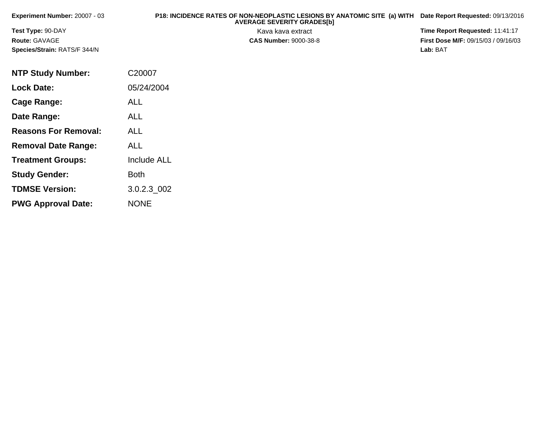| Experiment Number: $20007 - 03$     | P18: INCIDENCE RATES OF NON-NEOPLASTIC LESIONS BY ANATOMIC SITE (a) WITH Date Report Requested: 09/13/2016<br><b>AVERAGE SEVERITY GRADES[b]</b> |                                            |
|-------------------------------------|-------------------------------------------------------------------------------------------------------------------------------------------------|--------------------------------------------|
| <b>Test Type: 90-DAY</b>            | Kava kava extract                                                                                                                               | Time Report Requested: 11:41:17            |
| <b>Route: GAVAGE</b>                | <b>CAS Number: 9000-38-8</b>                                                                                                                    | <b>First Dose M/F: 09/15/03 / 09/16/03</b> |
| <b>Species/Strain: RATS/F 344/N</b> |                                                                                                                                                 | Lab: BAT                                   |

| <b>NTP Study Number:</b>    | C20007             |
|-----------------------------|--------------------|
| <b>Lock Date:</b>           | 05/24/2004         |
| Cage Range:                 | ALL                |
| Date Range:                 | ALL                |
| <b>Reasons For Removal:</b> | ALL.               |
| <b>Removal Date Range:</b>  | ALL                |
| <b>Treatment Groups:</b>    | <b>Include ALL</b> |
| <b>Study Gender:</b>        | Both               |
| <b>TDMSE Version:</b>       | 3.0.2.3_002        |
| <b>PWG Approval Date:</b>   | <b>NONE</b>        |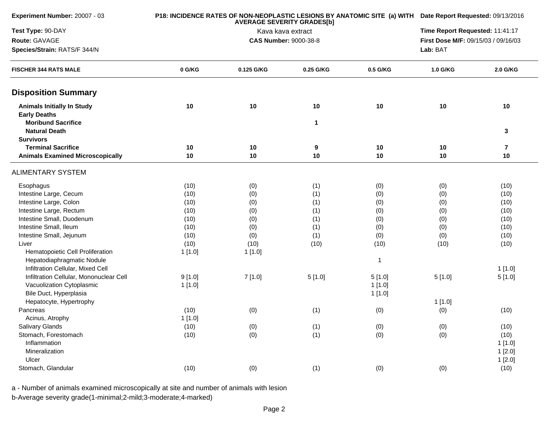| Experiment Number: 20007 - 03                            |        | P18: INCIDENCE RATES OF NON-NEOPLASTIC LESIONS BY ANATOMIC SITE (a) WITH Date Report Requested: 09/13/2016 |           |             |                                     |                         |
|----------------------------------------------------------|--------|------------------------------------------------------------------------------------------------------------|-----------|-------------|-------------------------------------|-------------------------|
| Test Type: 90-DAY                                        |        | Kava kava extract                                                                                          |           |             |                                     |                         |
| Route: GAVAGE                                            |        | <b>CAS Number: 9000-38-8</b>                                                                               |           |             | First Dose M/F: 09/15/03 / 09/16/03 |                         |
| Species/Strain: RATS/F 344/N                             |        |                                                                                                            | Lab: BAT  |             |                                     |                         |
| <b>FISCHER 344 RATS MALE</b>                             | 0 G/KG | 0.125 G/KG                                                                                                 | 0.25 G/KG | 0.5 G/KG    | 1.0 G/KG                            | 2.0 G/KG                |
| <b>Disposition Summary</b>                               |        |                                                                                                            |           |             |                                     |                         |
| <b>Animals Initially In Study</b><br><b>Early Deaths</b> | 10     | 10                                                                                                         | 10        | 10          | 10                                  | 10                      |
| <b>Moribund Sacrifice</b><br><b>Natural Death</b>        |        |                                                                                                            | 1         |             |                                     | 3                       |
| <b>Survivors</b>                                         |        |                                                                                                            |           |             |                                     |                         |
| <b>Terminal Sacrifice</b>                                | 10     | 10                                                                                                         | 9         | 10          | 10                                  | $\overline{\mathbf{r}}$ |
| <b>Animals Examined Microscopically</b>                  | 10     | 10                                                                                                         | 10        | 10          | 10                                  | 10                      |
| <b>ALIMENTARY SYSTEM</b>                                 |        |                                                                                                            |           |             |                                     |                         |
| Esophagus                                                | (10)   | (0)                                                                                                        | (1)       | (0)         | (0)                                 | (10)                    |
| Intestine Large, Cecum                                   | (10)   | (0)                                                                                                        | (1)       | (0)         | (0)                                 | (10)                    |
| Intestine Large, Colon                                   | (10)   | (0)                                                                                                        | (1)       | (0)         | (0)                                 | (10)                    |
| Intestine Large, Rectum                                  | (10)   | (0)                                                                                                        | (1)       | (0)         | (0)                                 | (10)                    |
| Intestine Small, Duodenum                                | (10)   | (0)                                                                                                        | (1)       | (0)         | (0)                                 | (10)                    |
| Intestine Small, Ileum                                   | (10)   | (0)                                                                                                        | (1)       | (0)         | (0)                                 | (10)                    |
| Intestine Small, Jejunum                                 | (10)   | (0)                                                                                                        | (1)       | (0)         | (0)                                 | (10)                    |
| Liver                                                    | (10)   | (10)                                                                                                       | (10)      | (10)        | (10)                                | (10)                    |
| Hematopoietic Cell Proliferation                         | 1[1.0] | 1 [1.0]                                                                                                    |           |             |                                     |                         |
| Hepatodiaphragmatic Nodule                               |        |                                                                                                            |           | $\mathbf 1$ |                                     |                         |
| Infiltration Cellular, Mixed Cell                        |        |                                                                                                            |           |             |                                     | 1[1.0]                  |
| Infiltration Cellular, Mononuclear Cell                  | 9[1.0] | 7[1.0]                                                                                                     | 5[1.0]    | 5[1.0]      | 5[1.0]                              | 5[1.0]                  |
| Vacuolization Cytoplasmic                                | 1[1.0] |                                                                                                            |           | 1[1.0]      |                                     |                         |
| Bile Duct, Hyperplasia                                   |        |                                                                                                            |           | 1[1.0]      |                                     |                         |
| Hepatocyte, Hypertrophy                                  |        |                                                                                                            |           |             | 1[1.0]                              |                         |
| Pancreas                                                 | (10)   | (0)                                                                                                        | (1)       | (0)         | (0)                                 | (10)                    |
| Acinus, Atrophy                                          | 1[1.0] |                                                                                                            |           |             |                                     |                         |
| Salivary Glands                                          | (10)   | (0)                                                                                                        | (1)       | (0)         | (0)                                 | (10)                    |
| Stomach, Forestomach                                     | (10)   | (0)                                                                                                        | (1)       | (0)         | (0)                                 | (10)                    |
| Inflammation                                             |        |                                                                                                            |           |             |                                     | 1[1.0]                  |
| Mineralization                                           |        |                                                                                                            |           |             |                                     | 1[2.0]                  |
| Ulcer                                                    |        |                                                                                                            |           |             |                                     | 1[2.0]                  |
| Stomach, Glandular                                       | (10)   | (0)                                                                                                        | (1)       | (0)         | (0)                                 | (10)                    |
|                                                          |        |                                                                                                            |           |             |                                     |                         |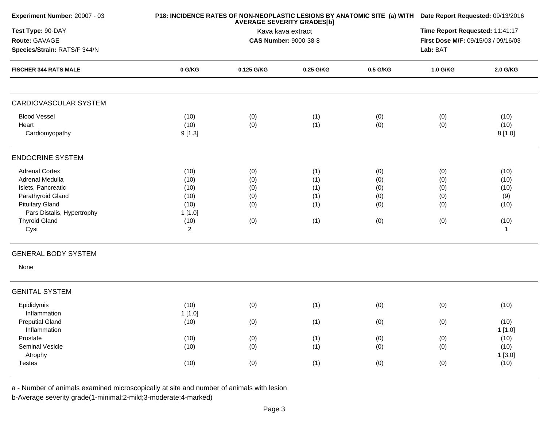| Experiment Number: 20007 - 03                  |                        | P18: INCIDENCE RATES OF NON-NEOPLASTIC LESIONS BY ANATOMIC SITE (a) WITH Date Report Requested: 09/13/2016<br>Time Report Requested: 11:41:17 |            |            |            |                        |  |
|------------------------------------------------|------------------------|-----------------------------------------------------------------------------------------------------------------------------------------------|------------|------------|------------|------------------------|--|
| Test Type: 90-DAY                              |                        |                                                                                                                                               |            |            |            |                        |  |
| Route: GAVAGE                                  |                        | Kava kava extract<br><b>CAS Number: 9000-38-8</b>                                                                                             |            |            |            |                        |  |
| Species/Strain: RATS/F 344/N                   |                        |                                                                                                                                               |            |            |            |                        |  |
| <b>FISCHER 344 RATS MALE</b>                   | 0 G/KG                 | 0.125 G/KG                                                                                                                                    | 0.25 G/KG  | 0.5 G/KG   | 1.0 G/KG   | 2.0 G/KG               |  |
| CARDIOVASCULAR SYSTEM                          |                        |                                                                                                                                               |            |            |            |                        |  |
| <b>Blood Vessel</b><br>Heart<br>Cardiomyopathy | (10)<br>(10)<br>9[1.3] | (0)<br>(0)                                                                                                                                    | (1)<br>(1) | (0)<br>(0) | (0)<br>(0) | (10)<br>(10)<br>8[1.0] |  |
| <b>ENDOCRINE SYSTEM</b>                        |                        |                                                                                                                                               |            |            |            |                        |  |
| <b>Adrenal Cortex</b>                          | (10)                   | (0)                                                                                                                                           | (1)        | (0)        | (0)        | (10)                   |  |
| Adrenal Medulla                                | (10)                   | (0)                                                                                                                                           | (1)        | (0)        | (0)        | (10)                   |  |
| Islets, Pancreatic                             | (10)                   | (0)                                                                                                                                           | (1)        | (0)        | (0)        | (10)                   |  |
| Parathyroid Gland                              | (10)                   | (0)                                                                                                                                           | (1)        | (0)        | (0)        | (9)                    |  |
| <b>Pituitary Gland</b>                         | (10)                   | (0)                                                                                                                                           | (1)        | (0)        | (0)        | (10)                   |  |
| Pars Distalis, Hypertrophy                     | 1[1.0]                 |                                                                                                                                               |            |            |            |                        |  |
| <b>Thyroid Gland</b>                           | (10)                   | (0)                                                                                                                                           | (1)        | (0)        | (0)        | (10)                   |  |
| Cyst                                           | $\overline{c}$         |                                                                                                                                               |            |            |            | $\overline{1}$         |  |
| <b>GENERAL BODY SYSTEM</b>                     |                        |                                                                                                                                               |            |            |            |                        |  |
| None                                           |                        |                                                                                                                                               |            |            |            |                        |  |
| <b>GENITAL SYSTEM</b>                          |                        |                                                                                                                                               |            |            |            |                        |  |
| Epididymis                                     | (10)                   | (0)                                                                                                                                           | (1)        | (0)        | (0)        | (10)                   |  |
| Inflammation                                   | 1[1.0]                 |                                                                                                                                               |            |            |            |                        |  |
| <b>Preputial Gland</b>                         | (10)                   | (0)                                                                                                                                           | (1)        | (0)        | (0)        | (10)                   |  |
| Inflammation                                   |                        |                                                                                                                                               |            |            |            | 1[1.0]                 |  |
| Prostate                                       | (10)                   | (0)                                                                                                                                           | (1)        | (0)        | (0)        | (10)                   |  |
| Seminal Vesicle                                | (10)                   | (0)                                                                                                                                           | (1)        | (0)        | (0)        | (10)                   |  |
| Atrophy                                        |                        |                                                                                                                                               |            |            |            | 1[3.0]                 |  |
| <b>Testes</b>                                  | (10)                   | (0)                                                                                                                                           | (1)        | (0)        | (0)        | (10)                   |  |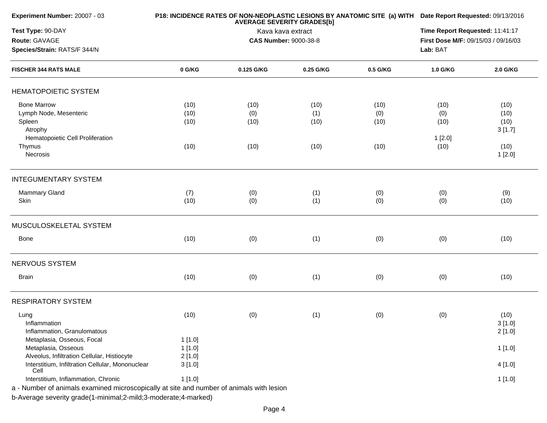| Experiment Number: 20007 - 03                                                            |        | P18: INCIDENCE RATES OF NON-NEOPLASTIC LESIONS BY ANATOMIC SITE (a) WITH Date Report Requested: 09/13/2016<br>Time Report Requested: 11:41:17 |                   |          |                                     |                |
|------------------------------------------------------------------------------------------|--------|-----------------------------------------------------------------------------------------------------------------------------------------------|-------------------|----------|-------------------------------------|----------------|
| Test Type: 90-DAY                                                                        |        |                                                                                                                                               |                   |          |                                     |                |
| Route: GAVAGE                                                                            |        | <b>CAS Number: 9000-38-8</b>                                                                                                                  | Kava kava extract |          | First Dose M/F: 09/15/03 / 09/16/03 |                |
| Species/Strain: RATS/F 344/N                                                             |        |                                                                                                                                               |                   | Lab: BAT |                                     |                |
| <b>FISCHER 344 RATS MALE</b>                                                             | 0 G/KG | 0.125 G/KG                                                                                                                                    | 0.25 G/KG         | 0.5 G/KG | 1.0 G/KG                            | 2.0 G/KG       |
| <b>HEMATOPOIETIC SYSTEM</b>                                                              |        |                                                                                                                                               |                   |          |                                     |                |
| <b>Bone Marrow</b>                                                                       | (10)   | (10)                                                                                                                                          | (10)              | (10)     | (10)                                | (10)           |
| Lymph Node, Mesenteric                                                                   | (10)   | (0)                                                                                                                                           | (1)               | (0)      | (0)                                 | (10)           |
| Spleen                                                                                   | (10)   | (10)                                                                                                                                          | (10)              | (10)     | (10)                                | (10)           |
| Atrophy                                                                                  |        |                                                                                                                                               |                   |          |                                     | 3[1.7]         |
| Hematopoietic Cell Proliferation                                                         |        |                                                                                                                                               |                   |          | 1[2.0]                              |                |
| Thymus<br>Necrosis                                                                       | (10)   | (10)                                                                                                                                          | (10)              | (10)     | (10)                                | (10)<br>1[2.0] |
| <b>INTEGUMENTARY SYSTEM</b>                                                              |        |                                                                                                                                               |                   |          |                                     |                |
| Mammary Gland                                                                            | (7)    | (0)                                                                                                                                           | (1)               | (0)      | (0)                                 | (9)            |
| Skin                                                                                     | (10)   | (0)                                                                                                                                           | (1)               | (0)      | (0)                                 | (10)           |
| MUSCULOSKELETAL SYSTEM                                                                   |        |                                                                                                                                               |                   |          |                                     |                |
| Bone                                                                                     | (10)   | (0)                                                                                                                                           | (1)               | (0)      | (0)                                 | (10)           |
| <b>NERVOUS SYSTEM</b>                                                                    |        |                                                                                                                                               |                   |          |                                     |                |
| <b>Brain</b>                                                                             | (10)   | (0)                                                                                                                                           | (1)               | (0)      | (0)                                 | (10)           |
| <b>RESPIRATORY SYSTEM</b>                                                                |        |                                                                                                                                               |                   |          |                                     |                |
| Lung                                                                                     | (10)   | (0)                                                                                                                                           | (1)               | (0)      | (0)                                 | (10)           |
| Inflammation                                                                             |        |                                                                                                                                               |                   |          |                                     | 3[1.0]         |
| Inflammation, Granulomatous                                                              |        |                                                                                                                                               |                   |          |                                     | 2[1.0]         |
| Metaplasia, Osseous, Focal                                                               | 1[1.0] |                                                                                                                                               |                   |          |                                     |                |
| Metaplasia, Osseous                                                                      | 1[1.0] |                                                                                                                                               |                   |          |                                     | 1[1.0]         |
| Alveolus, Infiltration Cellular, Histiocyte                                              | 2[1.0] |                                                                                                                                               |                   |          |                                     |                |
| Interstitium, Infiltration Cellular, Mononuclear<br>Cell                                 | 3[1.0] |                                                                                                                                               |                   |          |                                     | 4 [1.0]        |
| Interstitium, Inflammation, Chronic                                                      | 1[1.0] |                                                                                                                                               |                   |          |                                     | 1[1.0]         |
| a - Number of animals examined microscopically at site and number of animals with lesion |        |                                                                                                                                               |                   |          |                                     |                |
| b-Average severity grade(1-minimal;2-mild;3-moderate;4-marked)                           |        |                                                                                                                                               |                   |          |                                     |                |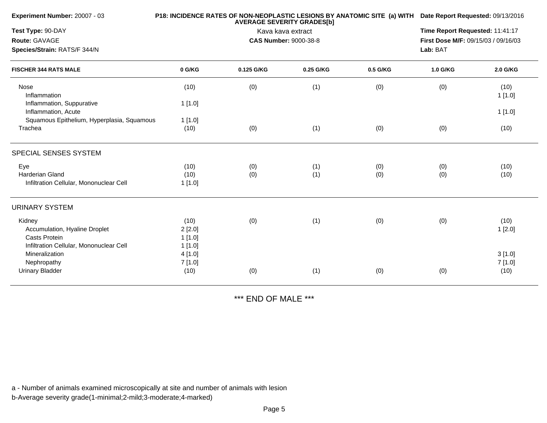| Experiment Number: 20007 - 03                                            |                             | P18: INCIDENCE RATES OF NON-NEOPLASTIC LESIONS BY ANATOMIC SITE (a) WITH Date Report Requested: 09/13/2016 |                                                                                    |            |            |                  |
|--------------------------------------------------------------------------|-----------------------------|------------------------------------------------------------------------------------------------------------|------------------------------------------------------------------------------------|------------|------------|------------------|
| Test Type: 90-DAY<br>Route: GAVAGE<br>Species/Strain: RATS/F 344/N       |                             | Kava kava extract<br><b>CAS Number: 9000-38-8</b>                                                          | Time Report Requested: 11:41:17<br>First Dose M/F: 09/15/03 / 09/16/03<br>Lab: BAT |            |            |                  |
| <b>FISCHER 344 RATS MALE</b>                                             | 0 G/KG                      | 0.125 G/KG                                                                                                 | 0.25 G/KG                                                                          | 0.5 G/KG   | 1.0 G/KG   | 2.0 G/KG         |
| Nose<br>Inflammation                                                     | (10)                        | (0)                                                                                                        | (1)                                                                                | (0)        | (0)        | (10)<br>1[1.0]   |
| Inflammation, Suppurative<br>Inflammation, Acute                         | 1[1.0]                      |                                                                                                            |                                                                                    |            |            | 1[1.0]           |
| Squamous Epithelium, Hyperplasia, Squamous<br>Trachea                    | 1[1.0]<br>(10)              | (0)                                                                                                        | (1)                                                                                | (0)        | (0)        | (10)             |
| SPECIAL SENSES SYSTEM                                                    |                             |                                                                                                            |                                                                                    |            |            |                  |
| Eye<br>Harderian Gland<br>Infiltration Cellular, Mononuclear Cell        | (10)<br>(10)<br>1[1.0]      | (0)<br>(0)                                                                                                 | (1)<br>(1)                                                                         | (0)<br>(0) | (0)<br>(0) | (10)<br>(10)     |
| <b>URINARY SYSTEM</b>                                                    |                             |                                                                                                            |                                                                                    |            |            |                  |
| Kidney<br>Accumulation, Hyaline Droplet<br><b>Casts Protein</b>          | (10)<br>2[2.0]<br>1[1.0]    | (0)                                                                                                        | (1)                                                                                | (0)        | (0)        | (10)<br>1[2.0]   |
| Infiltration Cellular, Mononuclear Cell<br>Mineralization<br>Nephropathy | 1[1.0]<br>4 [1.0]<br>7[1.0] |                                                                                                            |                                                                                    |            |            | 3[1.0]<br>7[1.0] |
| <b>Urinary Bladder</b>                                                   | (10)                        | (0)                                                                                                        | (1)                                                                                | (0)        | (0)        | (10)             |

\*\*\* END OF MALE \*\*\*

a - Number of animals examined microscopically at site and number of animals with lesion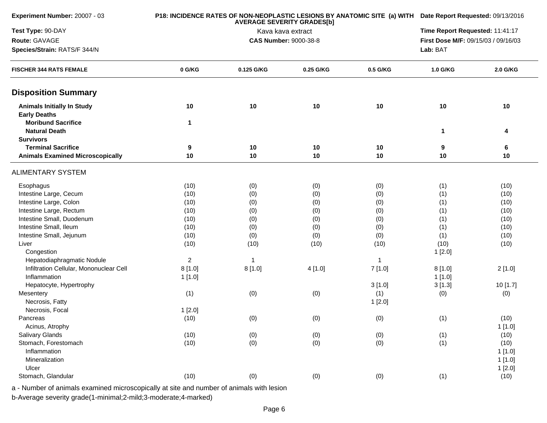| Experiment Number: 20007 - 03                            |                | P18: INCIDENCE RATES OF NON-NEOPLASTIC LESIONS BY ANATOMIC SITE (a) WITH Date Report Requested: 09/13/2016<br>Time Report Requested: 11:41:17 |                              |          |                                     |                |  |
|----------------------------------------------------------|----------------|-----------------------------------------------------------------------------------------------------------------------------------------------|------------------------------|----------|-------------------------------------|----------------|--|
| Test Type: 90-DAY                                        |                |                                                                                                                                               |                              |          |                                     |                |  |
| Route: GAVAGE                                            |                |                                                                                                                                               | <b>CAS Number: 9000-38-8</b> |          | First Dose M/F: 09/15/03 / 09/16/03 |                |  |
| Species/Strain: RATS/F 344/N                             |                |                                                                                                                                               |                              |          |                                     |                |  |
| <b>FISCHER 344 RATS FEMALE</b>                           | 0 G/KG         | 0.125 G/KG                                                                                                                                    | 0.25 G/KG                    | 0.5 G/KG | 1.0 G/KG                            | 2.0 G/KG       |  |
| <b>Disposition Summary</b>                               |                |                                                                                                                                               |                              |          |                                     |                |  |
| <b>Animals Initially In Study</b><br><b>Early Deaths</b> | 10             | 10                                                                                                                                            | 10                           | 10       | 10                                  | 10             |  |
| <b>Moribund Sacrifice</b><br><b>Natural Death</b>        | $\mathbf 1$    |                                                                                                                                               |                              |          | 1                                   | 4              |  |
| <b>Survivors</b><br><b>Terminal Sacrifice</b>            | 9              | 10                                                                                                                                            | 10                           | 10       | 9                                   | 6              |  |
| <b>Animals Examined Microscopically</b>                  | 10             | 10                                                                                                                                            | 10                           | 10       | 10                                  | 10             |  |
| <b>ALIMENTARY SYSTEM</b>                                 |                |                                                                                                                                               |                              |          |                                     |                |  |
| Esophagus                                                | (10)           | (0)                                                                                                                                           | (0)                          | (0)      | (1)                                 | (10)           |  |
| Intestine Large, Cecum                                   | (10)           | (0)                                                                                                                                           | (0)                          | (0)      | (1)                                 | (10)           |  |
| Intestine Large, Colon                                   | (10)           | (0)                                                                                                                                           | (0)                          | (0)      | (1)                                 | (10)           |  |
| Intestine Large, Rectum                                  | (10)           | (0)                                                                                                                                           | (0)                          | (0)      | (1)                                 | (10)           |  |
| Intestine Small, Duodenum                                | (10)           | (0)                                                                                                                                           | (0)                          | (0)      | (1)                                 | (10)           |  |
| Intestine Small, Ileum                                   | (10)           | (0)                                                                                                                                           | (0)                          | (0)      | (1)                                 | (10)           |  |
| Intestine Small, Jejunum                                 | (10)           | (0)                                                                                                                                           | (0)                          | (0)      | (1)                                 | (10)           |  |
| Liver                                                    | (10)           | (10)                                                                                                                                          | (10)                         | (10)     | (10)                                | (10)           |  |
| Congestion                                               |                |                                                                                                                                               |                              |          | 1[2.0]                              |                |  |
| Hepatodiaphragmatic Nodule                               | $\overline{c}$ | $\mathbf{1}$                                                                                                                                  |                              | 1        |                                     |                |  |
| Infiltration Cellular, Mononuclear Cell                  | 8[1.0]         | 8[1.0]                                                                                                                                        | 4[1.0]                       | 7[1.0]   | 8[1.0]                              | 2[1.0]         |  |
| Inflammation                                             | 1[1.0]         |                                                                                                                                               |                              |          | 1[1.0]                              |                |  |
| Hepatocyte, Hypertrophy                                  |                |                                                                                                                                               |                              | 3[1.0]   | 3[1.3]                              | 10[1.7]        |  |
| Mesentery                                                | (1)            | (0)                                                                                                                                           | (0)                          | (1)      | (0)                                 | (0)            |  |
| Necrosis, Fatty                                          |                |                                                                                                                                               |                              | 1[2.0]   |                                     |                |  |
| Necrosis, Focal                                          | 1[2.0]         |                                                                                                                                               |                              |          |                                     |                |  |
| Pancreas                                                 | (10)           | (0)                                                                                                                                           | (0)                          | (0)      | (1)                                 | (10)           |  |
| Acinus, Atrophy                                          |                |                                                                                                                                               |                              |          |                                     | 1[1.0]         |  |
| Salivary Glands<br>Stomach, Forestomach                  | (10)           | (0)                                                                                                                                           | (0)                          | (0)      | (1)                                 | (10)           |  |
| Inflammation                                             | (10)           | (0)                                                                                                                                           | (0)                          | (0)      | (1)                                 | (10)<br>1[1.0] |  |
| Mineralization                                           |                |                                                                                                                                               |                              |          |                                     | 1[1.0]         |  |
| Ulcer                                                    |                |                                                                                                                                               |                              |          |                                     | 1[2.0]         |  |
| Stomach, Glandular                                       | (10)           | (0)                                                                                                                                           | (0)                          | (0)      | (1)                                 | (10)           |  |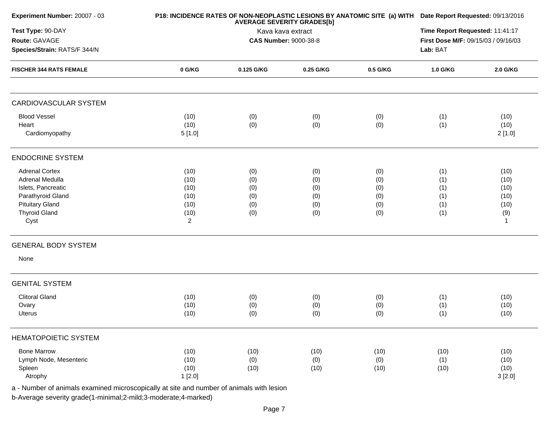| Experiment Number: 20007 - 03                  |                        | P18: INCIDENCE RATES OF NON-NEOPLASTIC LESIONS BY ANATOMIC SITE (a) WITH Date Report Requested: 09/13/2016 |                                 |            |                                     |                        |  |
|------------------------------------------------|------------------------|------------------------------------------------------------------------------------------------------------|---------------------------------|------------|-------------------------------------|------------------------|--|
| Test Type: 90-DAY                              |                        |                                                                                                            | Time Report Requested: 11:41:17 |            |                                     |                        |  |
| Route: GAVAGE                                  |                        |                                                                                                            | <b>CAS Number: 9000-38-8</b>    |            | First Dose M/F: 09/15/03 / 09/16/03 |                        |  |
| Species/Strain: RATS/F 344/N                   |                        |                                                                                                            |                                 |            |                                     |                        |  |
| <b>FISCHER 344 RATS FEMALE</b>                 | 0 G/KG                 | 0.125 G/KG                                                                                                 | 0.25 G/KG                       | 0.5 G/KG   | 1.0 G/KG                            | 2.0 G/KG               |  |
| <b>CARDIOVASCULAR SYSTEM</b>                   |                        |                                                                                                            |                                 |            |                                     |                        |  |
| <b>Blood Vessel</b><br>Heart<br>Cardiomyopathy | (10)<br>(10)<br>5[1.0] | (0)<br>(0)                                                                                                 | (0)<br>(0)                      | (0)<br>(0) | (1)<br>(1)                          | (10)<br>(10)<br>2[1.0] |  |
| <b>ENDOCRINE SYSTEM</b>                        |                        |                                                                                                            |                                 |            |                                     |                        |  |
| <b>Adrenal Cortex</b>                          | (10)                   | (0)                                                                                                        | (0)                             | (0)        | (1)                                 | (10)                   |  |
| Adrenal Medulla                                | (10)                   | (0)                                                                                                        | (0)                             | (0)        | (1)                                 | (10)                   |  |
| Islets, Pancreatic                             | (10)                   | (0)                                                                                                        | (0)                             | (0)        | (1)                                 | (10)                   |  |
| Parathyroid Gland                              | (10)                   | (0)                                                                                                        | (0)                             | (0)        | (1)                                 | (10)                   |  |
| <b>Pituitary Gland</b>                         | (10)                   | (0)                                                                                                        | (0)                             | (0)        | (1)                                 | (10)                   |  |
| <b>Thyroid Gland</b>                           | (10)                   | (0)                                                                                                        | (0)                             | (0)        | (1)                                 | (9)                    |  |
| Cyst                                           | 2                      |                                                                                                            |                                 |            |                                     | $\mathbf{1}$           |  |
| <b>GENERAL BODY SYSTEM</b>                     |                        |                                                                                                            |                                 |            |                                     |                        |  |
| None                                           |                        |                                                                                                            |                                 |            |                                     |                        |  |
| <b>GENITAL SYSTEM</b>                          |                        |                                                                                                            |                                 |            |                                     |                        |  |
| <b>Clitoral Gland</b>                          | (10)                   | (0)                                                                                                        | (0)                             | (0)        | (1)                                 | (10)                   |  |
| Ovary                                          | (10)                   | (0)                                                                                                        | (0)                             | (0)        | (1)                                 | (10)                   |  |
| Uterus                                         | (10)                   | (0)                                                                                                        | (0)                             | (0)        | (1)                                 | (10)                   |  |
| <b>HEMATOPOIETIC SYSTEM</b>                    |                        |                                                                                                            |                                 |            |                                     |                        |  |
| <b>Bone Marrow</b>                             | (10)                   | (10)                                                                                                       | (10)                            | (10)       | (10)                                | (10)                   |  |
| Lymph Node, Mesenteric                         | (10)                   | (0)                                                                                                        | (0)                             | (0)        | (1)                                 | (10)                   |  |
| Spleen                                         | (10)                   | (10)                                                                                                       | (10)                            | (10)       | (10)                                | (10)                   |  |
| Atrophy                                        | 1[2.0]                 |                                                                                                            |                                 |            |                                     | 3[2.0]                 |  |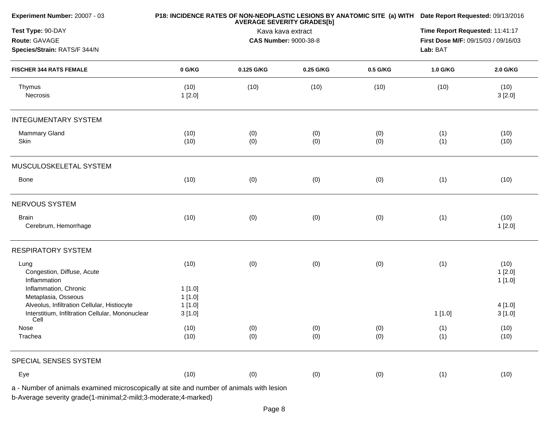| Experiment Number: 20007 - 03                                                                                                  |                            | P18: INCIDENCE RATES OF NON-NEOPLASTIC LESIONS BY ANATOMIC SITE (a) WITH Date Report Requested: 09/13/2016 |                                                                        |            |            |                          |
|--------------------------------------------------------------------------------------------------------------------------------|----------------------------|------------------------------------------------------------------------------------------------------------|------------------------------------------------------------------------|------------|------------|--------------------------|
| Test Type: 90-DAY<br>Route: GAVAGE<br>Species/Strain: RATS/F 344/N                                                             |                            | Lab: BAT                                                                                                   | Time Report Requested: 11:41:17<br>First Dose M/F: 09/15/03 / 09/16/03 |            |            |                          |
| <b>FISCHER 344 RATS FEMALE</b>                                                                                                 | 0 G/KG                     | 0.125 G/KG                                                                                                 | 0.25 G/KG                                                              | 0.5 G/KG   | 1.0 G/KG   | 2.0 G/KG                 |
| Thymus<br>Necrosis                                                                                                             | (10)<br>1[2.0]             | (10)                                                                                                       | (10)                                                                   | (10)       | (10)       | (10)<br>3[2.0]           |
| <b>INTEGUMENTARY SYSTEM</b>                                                                                                    |                            |                                                                                                            |                                                                        |            |            |                          |
| Mammary Gland<br>Skin                                                                                                          | (10)<br>(10)               | (0)<br>(0)                                                                                                 | (0)<br>(0)                                                             | (0)<br>(0) | (1)<br>(1) | (10)<br>(10)             |
| MUSCULOSKELETAL SYSTEM                                                                                                         |                            |                                                                                                            |                                                                        |            |            |                          |
| Bone                                                                                                                           | (10)                       | (0)                                                                                                        | (0)                                                                    | (0)        | (1)        | (10)                     |
| <b>NERVOUS SYSTEM</b>                                                                                                          |                            |                                                                                                            |                                                                        |            |            |                          |
| <b>Brain</b><br>Cerebrum, Hemorrhage                                                                                           | (10)                       | (0)                                                                                                        | (0)                                                                    | (0)        | (1)        | (10)<br>1[2.0]           |
| <b>RESPIRATORY SYSTEM</b>                                                                                                      |                            |                                                                                                            |                                                                        |            |            |                          |
| Lung<br>Congestion, Diffuse, Acute<br>Inflammation<br>Inflammation, Chronic                                                    | (10)<br>1[1.0]             | (0)                                                                                                        | (0)                                                                    | (0)        | (1)        | (10)<br>1[2.0]<br>1[1.0] |
| Metaplasia, Osseous<br>Alveolus, Infiltration Cellular, Histiocyte<br>Interstitium, Infiltration Cellular, Mononuclear<br>Cell | 1[1.0]<br>1[1.0]<br>3[1.0] |                                                                                                            |                                                                        |            | 1[1.0]     | 4[1.0]<br>3[1.0]         |
| Nose<br>Trachea                                                                                                                | (10)<br>(10)               | (0)<br>(0)                                                                                                 | (0)<br>(0)                                                             | (0)<br>(0) | (1)<br>(1) | (10)<br>(10)             |
| SPECIAL SENSES SYSTEM                                                                                                          |                            |                                                                                                            |                                                                        |            |            |                          |
| Eye                                                                                                                            | (10)                       | (0)                                                                                                        | (0)                                                                    | (0)        | (1)        | (10)                     |

Page 8